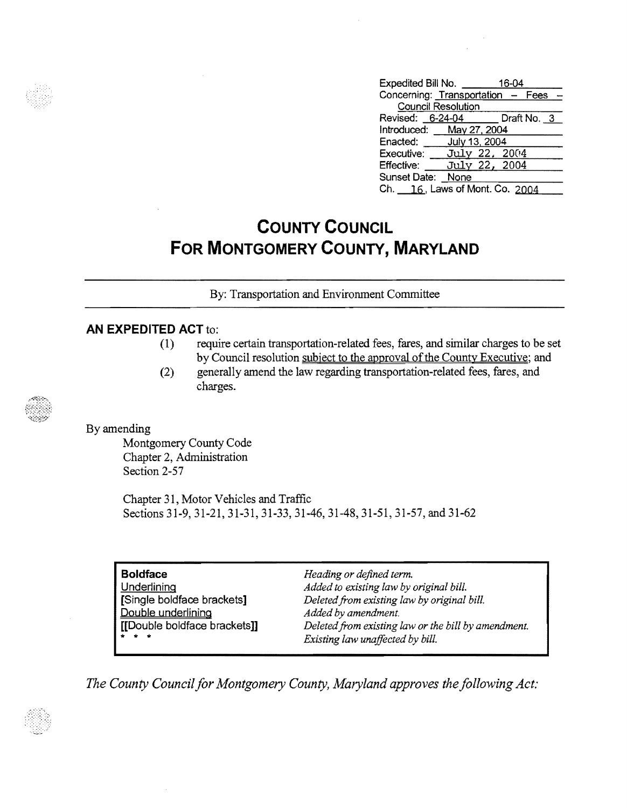| Expedited Bill No.                |      | 16-04         |  |
|-----------------------------------|------|---------------|--|
| Concerning: Transportation - Fees |      |               |  |
| <b>Council Resolution</b>         |      |               |  |
| Revised: 6-24-04 Draft No. 3      |      |               |  |
| Introduced: May 27, 2004          |      |               |  |
| Enacted: July 13, 2004            |      |               |  |
| Executive: July 22, 2004          |      |               |  |
| Effective:                        |      | July 22, 2004 |  |
| Sunset Date:                      | None |               |  |
| Ch. 16, Laws of Mont. Co. 2004    |      |               |  |

# **COUNTY COUNCIL FOR MONTGOMERY COUNTY, MARYLAND**

By: Transportation and Environment Committee

### **AN EXPEDITED ACT** to:

- (1) require certain transportation-related fees, fares, and similar charges to be set by Council resolution subject to the approval of the County Executive; and
- (2) generally amend the law regarding transportation-related fees, fares, and charges.

#### By amending

Montgomery County Code Chapter 2, Administration Section 2-57

Chapter 31, Motor Vehicles and Traffic Sections 31-9, 31-21, 31-31, 31-33, 31-46, 31-48, 31-51, 31-57, and 31-62

| <b>Boldface</b>                                       | Heading or defined term.                            |
|-------------------------------------------------------|-----------------------------------------------------|
| Underlining                                           | Added to existing law by original bill.             |
| [Single boldface brackets]                            | Deleted from existing law by original bill.         |
| Double underlining                                    | Added by amendment.                                 |
| [[Double boldface brackets]]                          | Deleted from existing law or the bill by amendment. |
| $\begin{array}{cccccccccc} A & A & A & A \end{array}$ | Existing law unaffected by bill.                    |

The County Council for Montgomery County, Maryland approves the following Act:



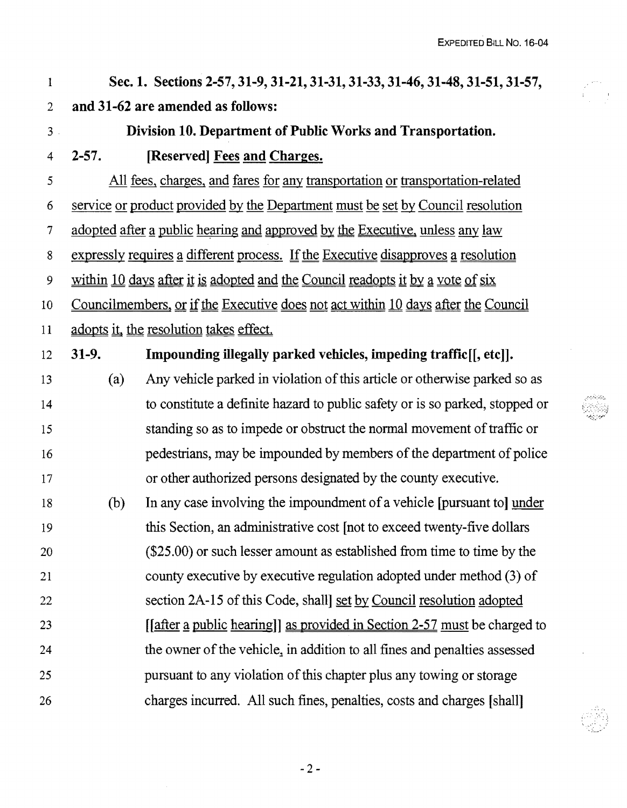#### 1 2 Sec. 1. Sections 2-57,31-9,31-21,31-31,31-33,31-46,31-48,31-51,31-57, and 31-62 are amended as follows:

3

## Division 10. Department of Public Works and Transportation.

4 2-57. [Reserved] Fees and Charges.

5 6 7 8 9 10 11 12 All fees, charges, and fares for any transportation or transportation-related service or product provided by the Department must be set by Council resolution adopted after a public hearing and approved by the Executive, unless any law expressly requires a different process. If the Executive disapproves a resolution within  $10$  days after it is adopted and the Council readopts it by a vote of six Councilmembers, or if the Executive does not act within 10 days after the Council adopts it, the resolution takes effect. 31-9. Impounding illegally parked vehicles, impeding traffic[[, etc]].

13 14 15 16 17 (a) Any vehicle parked in violation of this article or otherwise parked so as to constitute a definite hazard to public safety or is so parked, stopped or standing so as to impede or obstruct the normal movement of traffic or pedestrians, may be impounded by members of the department of police or other authorized persons designated by the county executive.

18 19 20 21 22 23 24 25 26 (b) In any case involving the impoundment of a vehicle [pursuant to] under this Section, an administrative cost [not to exceed twenty-five dollars (\$25.00) or such lesser amount as established from time to time by the county executive by executive regulation adopted under method (3) of section 2A-15 of this Code, shall] set by Council resolution adopted [ $[$  after a public hearing] as provided in Section 2-57 must be charged tothe owner of the vehicle, in addition to all fines and penalties assessed pursuant to any violation of this chapter plus any towing or storage charges incurred. All such fines, penalties, costs and charges [shall]

 $-2-$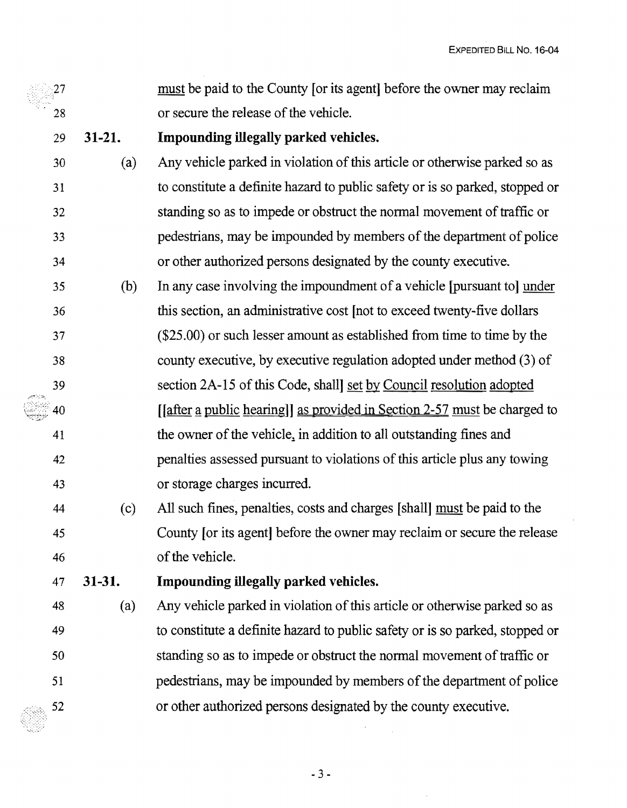must be paid to the County [or its agent] before the owner may reclaim  $27\,$ or secure the release of the vehicle. 28 **Impounding illegally parked vehicles.**  29 **31-21.**  Any vehicle parked in violation of this article or otherwise parked so as  $30 \t(a)$ to constitute a definite hazard to public safety or is so parked, stopped or 31 32 standing so as to impede or obstruct the normal movement of traffic or pedestrians, may be impounded by members of the department of police 33 or other authorized persons designated by the county executive. 34 35 (b) In any case involving the impoundment of a vehicle [pursuant to] under this section, an administrative cost [not to exceed twenty-five dollars 36 (\$25.00) or such lesser amount as established from time to time by the 37 county executive, by executive regulation adopted under method (3) of 38 section 2A-15 of this Code, shall] set by Council resolution adopted 39  $[$ [after a public hearing]] as provided in Section 2-57 must be charged to 40 the owner of the vehicle, in addition to all outstanding fines and 41 penalties assessed pursuant to violations of this article plus any towing 42 or storage charges incurred. 43 44 (c) All such fines, penalties, costs and charges [shall] must be paid to the County [or its agent] before the owner may reclaim or secure the release 45 of the vehicle. 46 **Impounding illegally parked vehicles.**  47 **31-31.**  48 (a) Any vehicle parked in violation of this article or otherwise parked so as to constitute a definite hazard to public safety or is so parked, stopped or 49 standing so as to impede or obstruct the normal movement of traffic or 50 pedestrians, may be impounded by members of the department of police 51

 $-3-$ 

or other authorized persons designated by the county executive.

52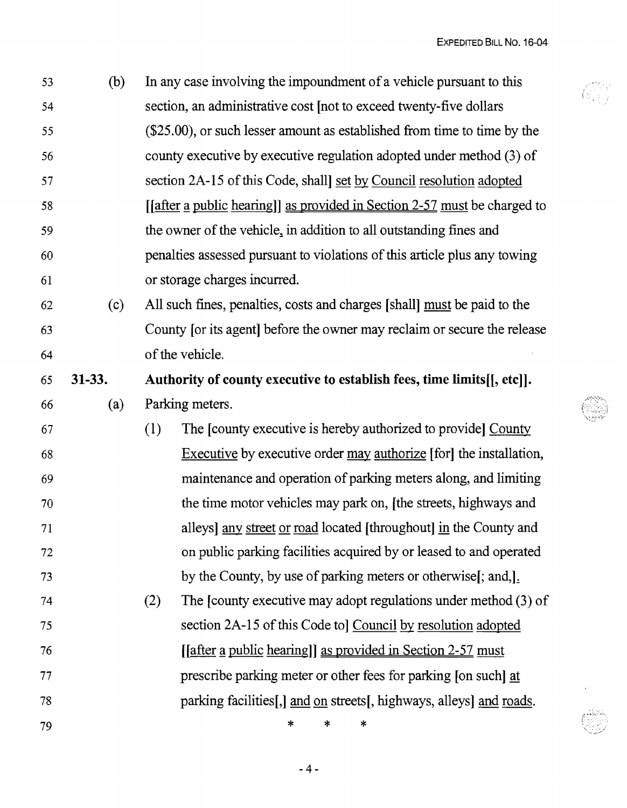Gy

| 53 | (b)      | In any case involving the impoundment of a vehicle pursuant to this               |
|----|----------|-----------------------------------------------------------------------------------|
| 54 |          | section, an administrative cost [not to exceed twenty-five dollars                |
| 55 |          | (\$25.00), or such lesser amount as established from time to time by the          |
| 56 |          | county executive by executive regulation adopted under method (3) of              |
| 57 |          | section 2A-15 of this Code, shall set by Council resolution adopted               |
| 58 |          | [ <i>after a public hearing</i> ]] as provided in Section 2-57 must be charged to |
| 59 |          | the owner of the vehicle, in addition to all outstanding fines and                |
| 60 |          | penalties assessed pursuant to violations of this article plus any towing         |
| 61 |          | or storage charges incurred.                                                      |
| 62 | (c)      | All such fines, penalties, costs and charges [shall] must be paid to the          |
| 63 |          | County for its agent before the owner may reclaim or secure the release           |
| 64 |          | of the vehicle.                                                                   |
| 65 | $31-33.$ | Authority of county executive to establish fees, time limits [[, etc]].           |
| 66 | (a)      | Parking meters.                                                                   |
| 67 |          | The [county executive is hereby authorized to provide] County<br>(1)              |
| 68 |          | <b>Executive</b> by executive order may authorize [for] the installation,         |
| 69 |          | maintenance and operation of parking meters along, and limiting                   |
| 70 |          | the time motor vehicles may park on, [the streets, highways and                   |
| 71 |          | alleys] any street or road located [throughout] in the County and                 |
| 72 |          | on public parking facilities acquired by or leased to and operated                |
| 73 |          | by the County, by use of parking meters or otherwise[; and,].                     |
| 74 |          | The [county executive may adopt regulations under method (3) of<br>(2)            |
| 75 |          | section 2A-15 of this Code to Council by resolution adopted                       |
| 76 |          | [ <i>after a public hearing</i> ]] as provided in Section 2-57 must               |
| 77 |          | prescribe parking meter or other fees for parking [on such] at                    |
| 78 |          | parking facilities[,] and on streets[, highways, alleys] and roads.               |
| 79 |          | $\ast$<br>*<br>*                                                                  |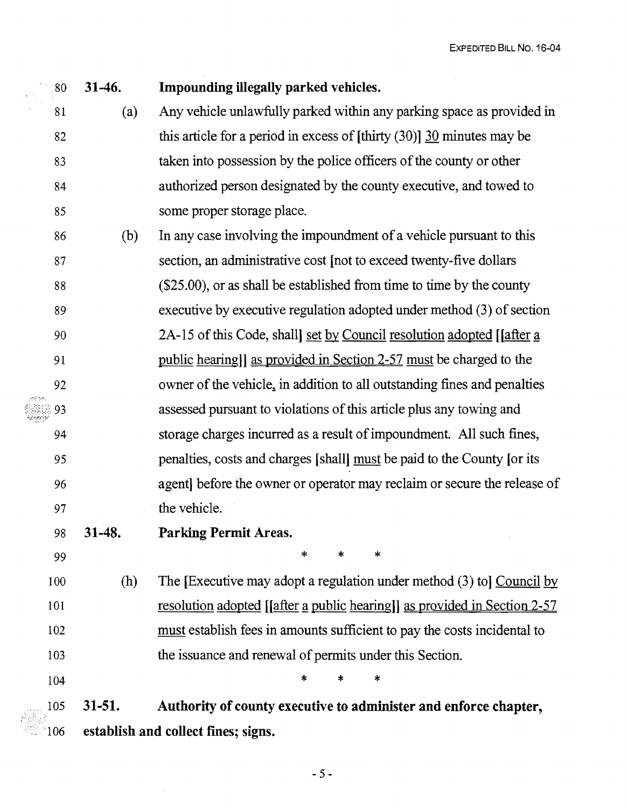80 31-46. Impounding illegally parked vehicles. 81 (a) Any vehicle unlawfully parked within any parking space as provided in 82 this article for a period in excess of [thirty (30)] 30 minutes may be 83 taken into possession by the police officers of the county or other 84 authorized person designated by the county executive, and towed to 85 some proper storage place. 86 (b) In any case involving the impoundment ofa vehicle pursuant to this 87 section, an administrative cost [not to exceed twenty-five dollars 88 (\$25.00), or as shall be established from time to time by the county 89 executive by executive regulation adopted under method (3) of section 90 2A-15 of this Code, shall set by Council resolution adopted [[after a 91 public hearing]] as provided in Section 2-57 must be charged to the 92 owner of the vehicle, in addition to all outstanding fines and penalties ,"';"-:-<.•",," 93 assessed pursuant to violations of this article plus any towing and 94 storage charges incurred as a result ofimpoundment. All such fines, 95 penalties, costs and charges [shall] must be paid to the County [or its 96 agent] before the owner or operator may reclaim or secure the release of 97 the vehicle. 98 31-48. Parking Permit Areas. <sup>99</sup>\* \* \* 100 (h) The [Executive may adopt a regulation under method (3) to] Council by 101 resolution adopted [[after a public hearing]] as provided in Section 2-57 102 must establish fees in amounts sufficient to pay the costs incidental to 103 the issuance and renewal of permits under this Section.  $104$  \* \* \* 105 31-51. Authority of county executive to administer and enforce chapter,

106 establish and collect fines; signs.

 $-5-$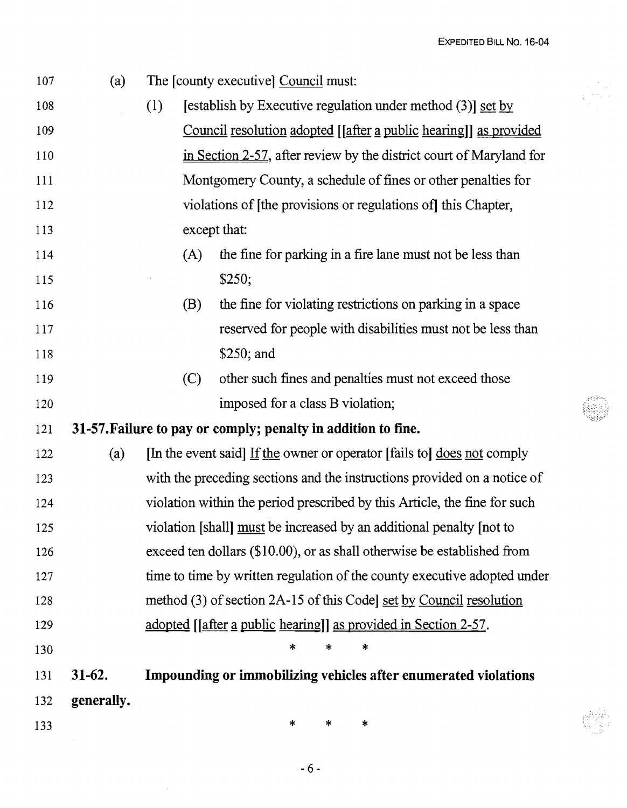EXPEDITED BILL No. 16-04

| 107 | (a)        | The [county executive] Council must:                                      |
|-----|------------|---------------------------------------------------------------------------|
| 108 |            | [establish by Executive regulation under method (3)] set by<br>(1)        |
| 109 |            | Council resolution adopted [[after a public hearing]] as provided         |
| 110 |            | in Section 2-57, after review by the district court of Maryland for       |
| 111 |            | Montgomery County, a schedule of fines or other penalties for             |
| 112 |            | violations of [the provisions or regulations of] this Chapter,            |
| 113 |            | except that:                                                              |
| 114 |            | the fine for parking in a fire lane must not be less than<br>(A)          |
| 115 |            | \$250;                                                                    |
| 116 |            | the fine for violating restrictions on parking in a space<br>(B)          |
| 117 |            | reserved for people with disabilities must not be less than               |
| 118 |            | $$250;$ and                                                               |
| 119 |            | other such fines and penalties must not exceed those<br>(C)               |
| 120 |            | imposed for a class B violation;                                          |
| 121 |            | 31-57. Failure to pay or comply; penalty in addition to fine.             |
| 122 | (a)        | [In the event said] If the owner or operator [fails to] does not comply   |
| 123 |            | with the preceding sections and the instructions provided on a notice of  |
| 124 |            | violation within the period prescribed by this Article, the fine for such |
| 125 |            | violation [shall] must be increased by an additional penalty [not to      |
| 126 |            | exceed ten dollars (\$10.00), or as shall otherwise be established from   |
| 127 |            | time to time by written regulation of the county executive adopted under  |
| 128 |            | method (3) of section 2A-15 of this Codel set by Council resolution       |
| 129 |            | adopted [ <i>after a public hearing</i> ]] as provided in Section 2-57.   |
| 130 |            | ∗<br>∗<br>∗                                                               |
| 131 | $31-62.$   | Impounding or immobilizing vehicles after enumerated violations           |
| 132 | generally. |                                                                           |
| 133 |            | ∗<br>$\ast$<br>∗                                                          |
|     |            |                                                                           |

 $\sim$   $\omega$